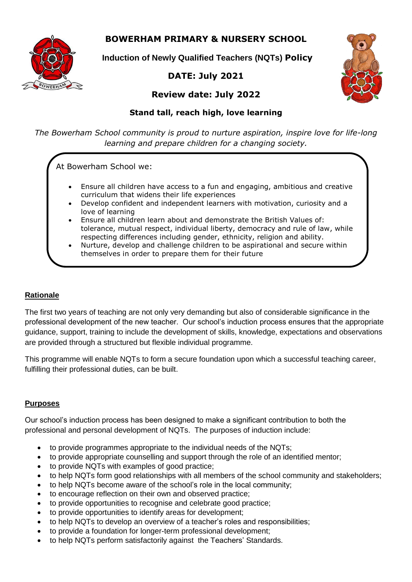**BOWERHAM PRIMARY & NURSERY SCHOOL**



**Induction of Newly Qualified Teachers (NQTs) Policy**

# **DATE: July 2021**



# **Review date: July 2022**

# **Stand tall, reach high, love learning**

*The Bowerham School community is proud to nurture aspiration, inspire love for life-long learning and prepare children for a changing society.*

At Bowerham School we:

- Ensure all children have access to a fun and engaging, ambitious and creative curriculum that widens their life experiences
- Develop confident and independent learners with motivation, curiosity and a love of learning
- Ensure all children learn about and demonstrate the British Values of: tolerance, mutual respect, individual liberty, democracy and rule of law, while respecting differences including gender, ethnicity, religion and ability.
- Nurture, develop and challenge children to be aspirational and secure within themselves in order to prepare them for their future

# **Rationale**

The first two years of teaching are not only very demanding but also of considerable significance in the professional development of the new teacher. Our school's induction process ensures that the appropriate guidance, support, training to include the development of skills, knowledge, expectations and observations are provided through a structured but flexible individual programme.

This programme will enable NQTs to form a secure foundation upon which a successful teaching career, fulfilling their professional duties, can be built.

# **Purposes**

Our school's induction process has been designed to make a significant contribution to both the professional and personal development of NQTs. The purposes of induction include:

- to provide programmes appropriate to the individual needs of the NQTs;
- to provide appropriate counselling and support through the role of an identified mentor;
- to provide NQTs with examples of good practice;
- to help NQTs form good relationships with all members of the school community and stakeholders;
- to help NQTs become aware of the school's role in the local community;
- to encourage reflection on their own and observed practice;
- to provide opportunities to recognise and celebrate good practice;
- to provide opportunities to identify areas for development;
- to help NQTs to develop an overview of a teacher's roles and responsibilities;
- to provide a foundation for longer-term professional development;
- to help NQTs perform satisfactorily against the Teachers' Standards.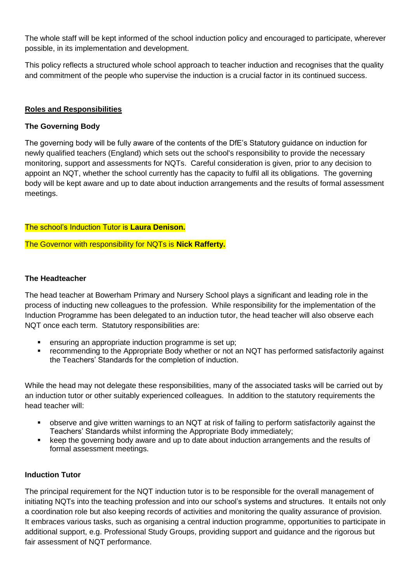The whole staff will be kept informed of the school induction policy and encouraged to participate, wherever possible, in its implementation and development.

This policy reflects a structured whole school approach to teacher induction and recognises that the quality and commitment of the people who supervise the induction is a crucial factor in its continued success.

### **Roles and Responsibilities**

#### **The Governing Body**

The governing body will be fully aware of the contents of the DfE's Statutory guidance on induction for newly qualified teachers (England) which sets out the school's responsibility to provide the necessary monitoring, support and assessments for NQTs. Careful consideration is given, prior to any decision to appoint an NQT, whether the school currently has the capacity to fulfil all its obligations. The governing body will be kept aware and up to date about induction arrangements and the results of formal assessment meetings.

#### The school's Induction Tutor is **Laura Denison.**

The Governor with responsibility for NQTs is **Nick Rafferty.**

#### **The Headteacher**

The head teacher at Bowerham Primary and Nursery School plays a significant and leading role in the process of inducting new colleagues to the profession. While responsibility for the implementation of the Induction Programme has been delegated to an induction tutor, the head teacher will also observe each NQT once each term. Statutory responsibilities are:

- ensuring an appropriate induction programme is set up;
- recommending to the Appropriate Body whether or not an NQT has performed satisfactorily against the Teachers' Standards for the completion of induction.

While the head may not delegate these responsibilities, many of the associated tasks will be carried out by an induction tutor or other suitably experienced colleagues. In addition to the statutory requirements the head teacher will:

- observe and give written warnings to an NQT at risk of failing to perform satisfactorily against the Teachers' Standards whilst informing the Appropriate Body immediately;
- keep the governing body aware and up to date about induction arrangements and the results of formal assessment meetings.

#### **Induction Tutor**

The principal requirement for the NQT induction tutor is to be responsible for the overall management of initiating NQTs into the teaching profession and into our school's systems and structures. It entails not only a coordination role but also keeping records of activities and monitoring the quality assurance of provision. It embraces various tasks, such as organising a central induction programme, opportunities to participate in additional support, e.g. Professional Study Groups, providing support and guidance and the rigorous but fair assessment of NQT performance.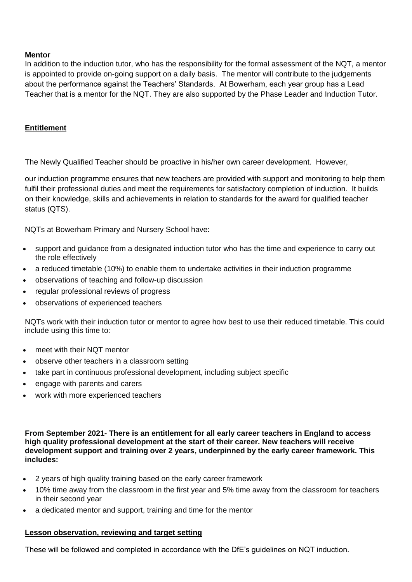#### **Mentor**

In addition to the induction tutor, who has the responsibility for the formal assessment of the NQT, a mentor is appointed to provide on-going support on a daily basis. The mentor will contribute to the judgements about the performance against the Teachers' Standards. At Bowerham, each year group has a Lead Teacher that is a mentor for the NQT. They are also supported by the Phase Leader and Induction Tutor.

#### **Entitlement**

The Newly Qualified Teacher should be proactive in his/her own career development. However,

our induction programme ensures that new teachers are provided with support and monitoring to help them fulfil their professional duties and meet the requirements for satisfactory completion of induction. It builds on their knowledge, skills and achievements in relation to standards for the award for qualified teacher status (QTS).

NQTs at Bowerham Primary and Nursery School have:

- support and guidance from a designated induction tutor who has the time and experience to carry out the role effectively
- a reduced timetable (10%) to enable them to undertake activities in their induction programme
- observations of teaching and follow-up discussion
- regular professional reviews of progress
- observations of experienced teachers

NQTs work with their induction tutor or mentor to agree how best to use their reduced timetable. This could include using this time to:

- meet with their NQT mentor
- observe other teachers in a classroom setting
- take part in continuous professional development, including subject specific
- engage with parents and carers
- work with more experienced teachers

**From September 2021- There is an entitlement for all early career teachers in England to access high quality professional development at the start of their career. New teachers will receive development support and training over 2 years, underpinned by the early career framework. This includes:**

- 2 years of high quality training based on the early career framework
- 10% time away from the classroom in the first year and 5% time away from the classroom for teachers in their second year
- a dedicated mentor and support, training and time for the mentor

#### **Lesson observation, reviewing and target setting**

These will be followed and completed in accordance with the DfE's guidelines on NQT induction.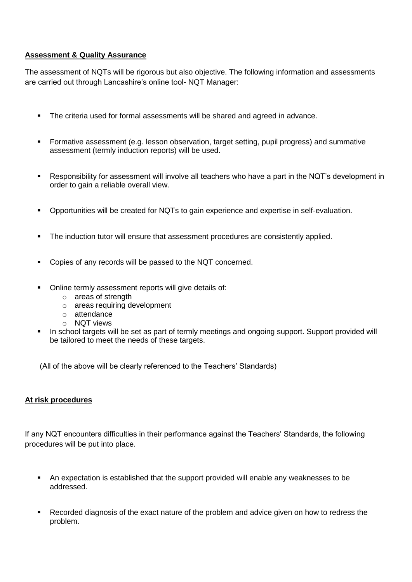### **Assessment & Quality Assurance**

The assessment of NQTs will be rigorous but also objective. The following information and assessments are carried out through Lancashire's online tool- NQT Manager:

- The criteria used for formal assessments will be shared and agreed in advance.
- Formative assessment (e.g. lesson observation, target setting, pupil progress) and summative assessment (termly induction reports) will be used.
- Responsibility for assessment will involve all teachers who have a part in the NQT's development in order to gain a reliable overall view.
- Opportunities will be created for NQTs to gain experience and expertise in self-evaluation.
- The induction tutor will ensure that assessment procedures are consistently applied.
- Copies of any records will be passed to the NQT concerned.
- Online termly assessment reports will give details of:
	- o areas of strength
	- o areas requiring development
	- o attendance
	- o NQT views
- In school targets will be set as part of termly meetings and ongoing support. Support provided will be tailored to meet the needs of these targets.

(All of the above will be clearly referenced to the Teachers' Standards)

#### **At risk procedures**

If any NQT encounters difficulties in their performance against the Teachers' Standards, the following procedures will be put into place.

- An expectation is established that the support provided will enable any weaknesses to be addressed.
- Recorded diagnosis of the exact nature of the problem and advice given on how to redress the problem.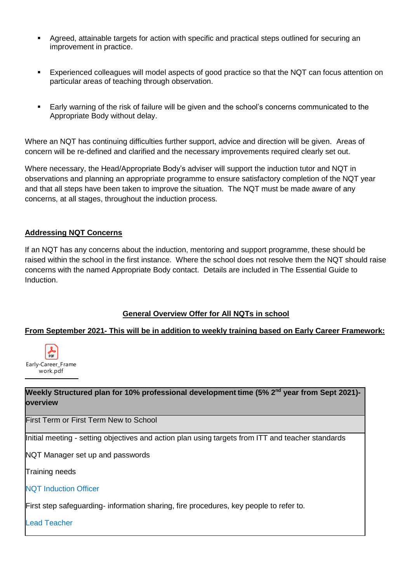- Agreed, attainable targets for action with specific and practical steps outlined for securing an improvement in practice.
- Experienced colleagues will model aspects of good practice so that the NQT can focus attention on particular areas of teaching through observation.
- Early warning of the risk of failure will be given and the school's concerns communicated to the Appropriate Body without delay.

Where an NQT has continuing difficulties further support, advice and direction will be given. Areas of concern will be re-defined and clarified and the necessary improvements required clearly set out.

Where necessary, the Head/Appropriate Body's adviser will support the induction tutor and NQT in observations and planning an appropriate programme to ensure satisfactory completion of the NQT year and that all steps have been taken to improve the situation. The NQT must be made aware of any concerns, at all stages, throughout the induction process.

# **Addressing NQT Concerns**

If an NQT has any concerns about the induction, mentoring and support programme, these should be raised within the school in the first instance. Where the school does not resolve them the NQT should raise concerns with the named Appropriate Body contact. Details are included in The Essential Guide to Induction.

# **General Overview Offer for All NQTs in school**

# **From September 2021- This will be in addition to weekly training based on Early Career Framework:**



**Weekly Structured plan for 10% professional development time (5% 2nd year from Sept 2021) overview**

First Term or First Term New to School

Initial meeting - setting objectives and action plan using targets from ITT and teacher standards

NQT Manager set up and passwords

Training needs

NQT Induction Officer

First step safeguarding- information sharing, fire procedures, key people to refer to.

Lead Teacher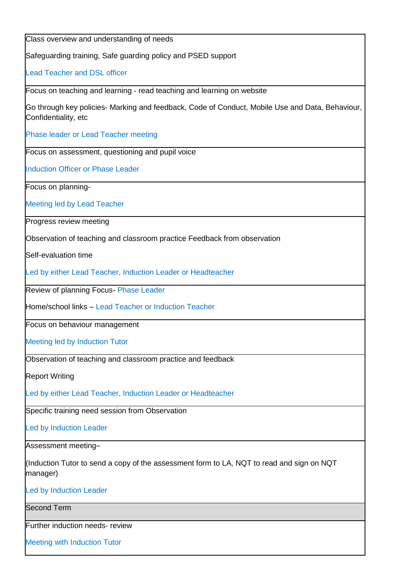Class overview and understanding of needs Safeguarding training, Safe guarding policy and PSED support Lead Teacher and DSL officer Focus on teaching and learning - read teaching and learning on website Go through key policies- Marking and feedback, Code of Conduct, Mobile Use and Data, Behaviour, Confidentiality, etc Phase leader or Lead Teacher meeting Focus on assessment, questioning and pupil voice Induction Officer or Phase Leader Focus on planning-Meeting led by Lead Teacher Progress review meeting Observation of teaching and classroom practice Feedback from observation Self-evaluation time Led by either Lead Teacher, Induction Leader or Headteacher Review of planning Focus- Phase Leader Home/school links – Lead Teacher or Induction Teacher Focus on behaviour management Meeting led by Induction Tutor Observation of teaching and classroom practice and feedback Report Writing Led by either Lead Teacher, Induction Leader or Headteacher Specific training need session from Observation Led by Induction Leader Assessment meeting– (Induction Tutor to send a copy of the assessment form to LA, NQT to read and sign on NQT manager) Led by Induction Leader Second Term Further induction needs- review Meeting with Induction Tutor